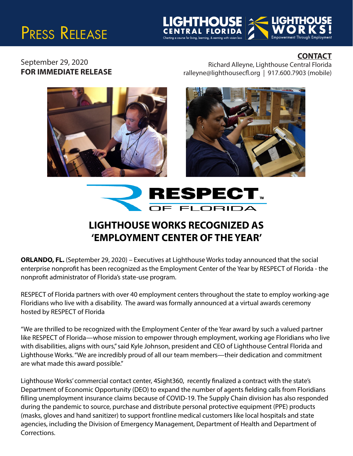## PRESS RELEASE



## **CONTACT**

September 29, 2020<br>
FOR IMMEDIATE RELEASE FOR IMMEDIATE RELEASE FOR IMMEDIATE RELEASE ralleyne@lighthousecfl.org | 917.600.7903 (mobile)







## **LIGHTHOUSE WORKS RECOGNIZED AS 'EMPLOYMENT CENTER OF THE YEAR'**

**ORLANDO, FL.** (September 29, 2020) – Executives at Lighthouse Works today announced that the social enterprise nonprofit has been recognized as the Employment Center of the Year by RESPECT of Florida - the nonprofit administrator of Florida's state-use program.

RESPECT of Florida partners with over 40 employment centers throughout the state to employ working-age Floridians who live with a disability. The award was formally announced at a virtual awards ceremony hosted by RESPECT of Florida

"We are thrilled to be recognized with the Employment Center of the Year award by such a valued partner like RESPECT of Florida—whose mission to empower through employment, working age Floridians who live with disabilities, aligns with ours," said Kyle Johnson, president and CEO of Lighthouse Central Florida and Lighthouse Works. "We are incredibly proud of all our team members—their dedication and commitment are what made this award possible."

Lighthouse Works' commercial contact center, 4Sight360, recently finalized a contract with the state's Department of Economic Opportunity (DEO) to expand the number of agents fielding calls from Floridians filling unemployment insurance claims because of COVID-19. The Supply Chain division has also responded during the pandemic to source, purchase and distribute personal protective equipment (PPE) products (masks, gloves and hand sanitizer) to support frontline medical customers like local hospitals and state agencies, including the Division of Emergency Management, Department of Health and Department of Corrections.